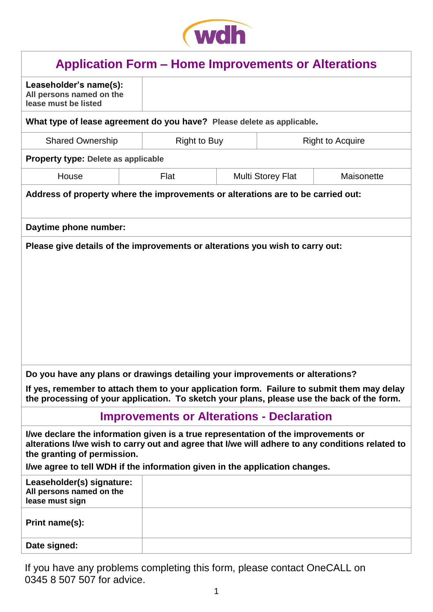

| <b>Application Form – Home Improvements or Alterations</b>                                                                                                                                                           |                     |                          |            |  |  |  |  |  |
|----------------------------------------------------------------------------------------------------------------------------------------------------------------------------------------------------------------------|---------------------|--------------------------|------------|--|--|--|--|--|
| Leaseholder's name(s):<br>All persons named on the<br>lease must be listed                                                                                                                                           |                     |                          |            |  |  |  |  |  |
| What type of lease agreement do you have? Please delete as applicable.                                                                                                                                               |                     |                          |            |  |  |  |  |  |
| <b>Shared Ownership</b>                                                                                                                                                                                              | <b>Right to Buy</b> | <b>Right to Acquire</b>  |            |  |  |  |  |  |
| <b>Property type: Delete as applicable</b>                                                                                                                                                                           |                     |                          |            |  |  |  |  |  |
| House                                                                                                                                                                                                                | Flat                | <b>Multi Storey Flat</b> | Maisonette |  |  |  |  |  |
| Address of property where the improvements or alterations are to be carried out:                                                                                                                                     |                     |                          |            |  |  |  |  |  |
| Daytime phone number:                                                                                                                                                                                                |                     |                          |            |  |  |  |  |  |
| Please give details of the improvements or alterations you wish to carry out:                                                                                                                                        |                     |                          |            |  |  |  |  |  |
| Do you have any plans or drawings detailing your improvements or alterations?                                                                                                                                        |                     |                          |            |  |  |  |  |  |
| If yes, remember to attach them to your application form. Failure to submit them may delay<br>the processing of your application. To sketch your plans, please use the back of the form.                             |                     |                          |            |  |  |  |  |  |
| <b>Improvements or Alterations - Declaration</b>                                                                                                                                                                     |                     |                          |            |  |  |  |  |  |
| I/we declare the information given is a true representation of the improvements or<br>alterations I/we wish to carry out and agree that I/we will adhere to any conditions related to<br>the granting of permission. |                     |                          |            |  |  |  |  |  |
| I/we agree to tell WDH if the information given in the application changes.                                                                                                                                          |                     |                          |            |  |  |  |  |  |
| Leaseholder(s) signature:<br>All persons named on the<br>lease must sign                                                                                                                                             |                     |                          |            |  |  |  |  |  |
| Print name(s):                                                                                                                                                                                                       |                     |                          |            |  |  |  |  |  |
| Date signed:                                                                                                                                                                                                         |                     |                          |            |  |  |  |  |  |

If you have any problems completing this form, please contact OneCALL on 0345 8 507 507 for advice.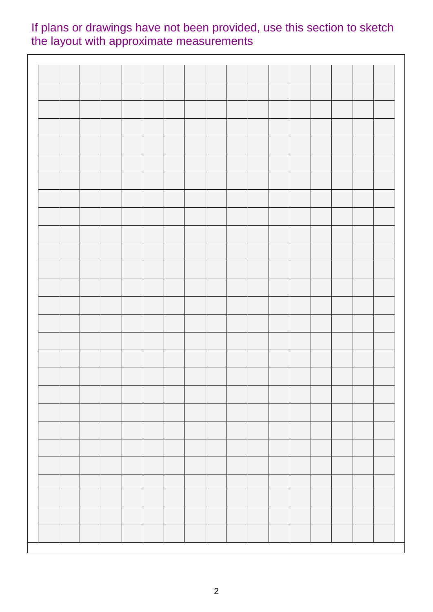# If plans or drawings have not been provided, use this section to sketch the layout with approximate measurements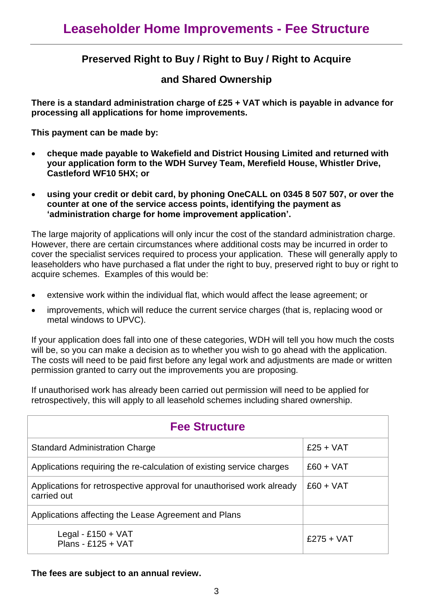## **Preserved Right to Buy / Right to Buy / Right to Acquire**

#### **and Shared Ownership**

**There is a standard administration charge of £25 + VAT which is payable in advance for processing all applications for home improvements.** 

**This payment can be made by:** 

- **cheque made payable to Wakefield and District Housing Limited and returned with your application form to the WDH Survey Team, Merefield House, Whistler Drive, Castleford WF10 5HX; or**
- **using your credit or debit card, by phoning OneCALL on 0345 8 507 507, or over the counter at one of the service access points, identifying the payment as 'administration charge for home improvement application'.**

The large majority of applications will only incur the cost of the standard administration charge. However, there are certain circumstances where additional costs may be incurred in order to cover the specialist services required to process your application. These will generally apply to leaseholders who have purchased a flat under the right to buy, preserved right to buy or right to acquire schemes. Examples of this would be:

- extensive work within the individual flat, which would affect the lease agreement; or
- improvements, which will reduce the current service charges (that is, replacing wood or metal windows to UPVC).

If your application does fall into one of these categories, WDH will tell you how much the costs will be, so you can make a decision as to whether you wish to go ahead with the application. The costs will need to be paid first before any legal work and adjustments are made or written permission granted to carry out the improvements you are proposing.

If unauthorised work has already been carried out permission will need to be applied for retrospectively, this will apply to all leasehold schemes including shared ownership.

| <b>Fee Structure</b>                                                                 |              |  |  |  |  |
|--------------------------------------------------------------------------------------|--------------|--|--|--|--|
| <b>Standard Administration Charge</b>                                                | $£25 + VAT$  |  |  |  |  |
| Applications requiring the re-calculation of existing service charges                | $£60 + VAT$  |  |  |  |  |
| Applications for retrospective approval for unauthorised work already<br>carried out | $£60 + VAT$  |  |  |  |  |
| Applications affecting the Lease Agreement and Plans                                 |              |  |  |  |  |
| Legal - £150 + $VAT$<br>Plans - £125 + VAT                                           | $£275 + VAT$ |  |  |  |  |

**The fees are subject to an annual review.**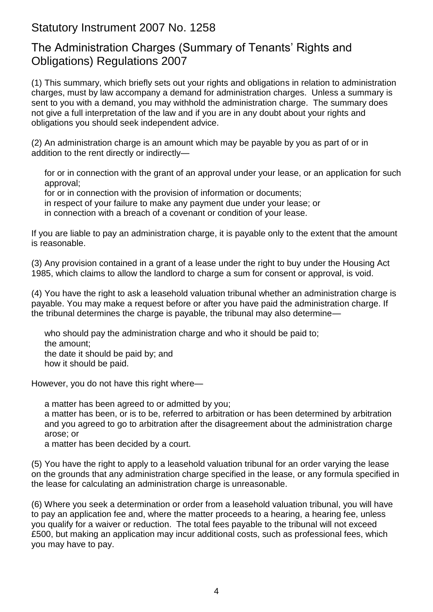## Statutory Instrument 2007 No. 1258

## The Administration Charges (Summary of Tenants' Rights and Obligations) Regulations 2007

(1) This summary, which briefly sets out your rights and obligations in relation to administration charges, must by law accompany a demand for administration charges. Unless a summary is sent to you with a demand, you may withhold the administration charge. The summary does not give a full interpretation of the law and if you are in any doubt about your rights and obligations you should seek independent advice.

(2) An administration charge is an amount which may be payable by you as part of or in addition to the rent directly or indirectly—

for or in connection with the grant of an approval under your lease, or an application for such approval;

for or in connection with the provision of information or documents;

in respect of your failure to make any payment due under your lease; or

in connection with a breach of a covenant or condition of your lease.

If you are liable to pay an administration charge, it is payable only to the extent that the amount is reasonable.

(3) Any provision contained in a grant of a lease under the right to buy under the Housing Act 1985, which claims to allow the landlord to charge a sum for consent or approval, is void.

(4) You have the right to ask a leasehold valuation tribunal whether an administration charge is payable. You may make a request before or after you have paid the administration charge. If the tribunal determines the charge is payable, the tribunal may also determine—

who should pay the administration charge and who it should be paid to; the amount; the date it should be paid by; and how it should be paid.

However, you do not have this right where—

a matter has been agreed to or admitted by you;

a matter has been, or is to be, referred to arbitration or has been determined by arbitration and you agreed to go to arbitration after the disagreement about the administration charge arose; or

a matter has been decided by a court.

(5) You have the right to apply to a leasehold valuation tribunal for an order varying the lease on the grounds that any administration charge specified in the lease, or any formula specified in the lease for calculating an administration charge is unreasonable.

(6) Where you seek a determination or order from a leasehold valuation tribunal, you will have to pay an application fee and, where the matter proceeds to a hearing, a hearing fee, unless you qualify for a waiver or reduction. The total fees payable to the tribunal will not exceed £500, but making an application may incur additional costs, such as professional fees, which you may have to pay.